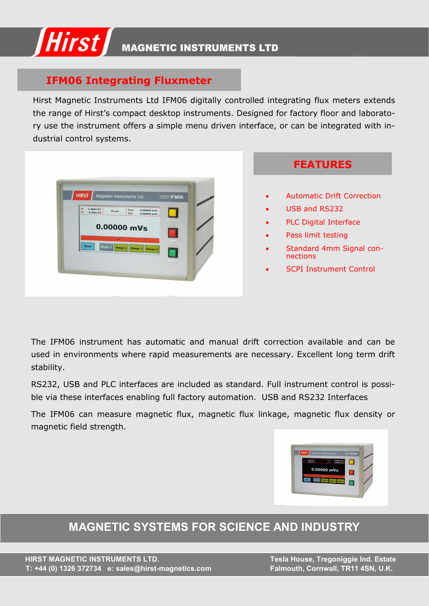

### **IFM06 Integrating Fluxmeter**

Hirst Magnetic Instruments Ltd IFM06 digitally controlled integrating flux meters extends the range of Hirst's compact desktop instruments. Designed for factory floor and laboratory use the instrument offers a simple menu driven interface, or can be integrated with industrial control systems.



**FEATURES**

- Automatic Drift Correction
- USB and RS232
- PLC Digital Interface
- Pass limit testing
- Standard 4mm Signal connections
- **SCPI Instrument Control**

The IFM06 instrument has automatic and manual drift correction available and can be used in environments where rapid measurements are necessary. Excellent long term drift stability.

RS232, USB and PLC interfaces are included as standard. Full instrument control is possible via these interfaces enabling full factory automation. USB and RS232 Interfaces

The IFM06 can measure magnetic flux, magnetic flux linkage, magnetic flux density or magnetic field strength.



**MAGNETIC SYSTEMS FOR SCIENCE AND INDUSTRY**

 **HIRST MAGNETIC INSTRUMENTS LTD. Tesla House, Tregoniggie Ind. Estate T: +44 (0) 1326 372734 e: sales@hirst-magnetics.com Falmouth, Cornwall, TR11 4SN, U.K.**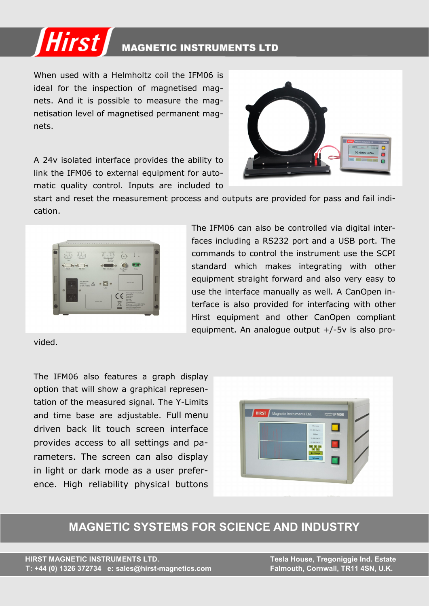

When used with a Helmholtz coil the IFM06 is ideal for the inspection of magnetised magnets. And it is possible to measure the magnetisation level of magnetised permanent magnets.

A 24v isolated interface provides the ability to link the IFM06 to external equipment for automatic quality control. Inputs are included to



start and reset the measurement process and outputs are provided for pass and fail indication.



vided.

The IFM06 can also be controlled via digital interfaces including a RS232 port and a USB port. The commands to control the instrument use the SCPI standard which makes integrating with other equipment straight forward and also very easy to use the interface manually as well. A CanOpen interface is also provided for interfacing with other Hirst equipment and other CanOpen compliant equipment. An analogue output +/-5v is also pro-

The IFM06 also features a graph display option that will show a graphical representation of the measured signal. The Y-Limits and time base are adjustable. Full menu driven back lit touch screen interface provides access to all settings and parameters. The screen can also display in light or dark mode as a user preference. High reliability physical buttons



## **MAGNETIC SYSTEMS FOR SCIENCE AND INDUSTRY**